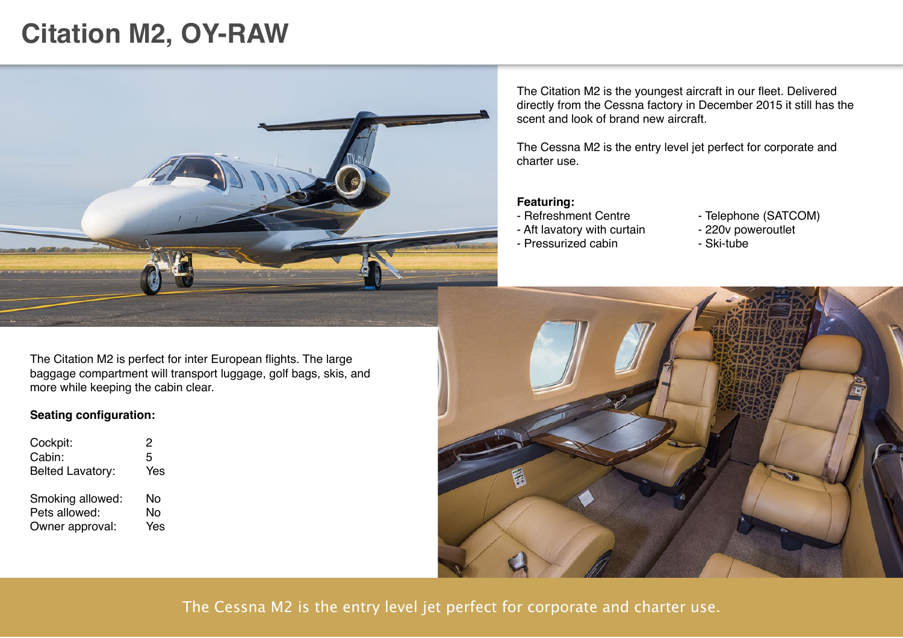## **Citation M2, OY-RAW**



The Citation M2 is the youngest aircraft in our fleet. Delivered directly from the Cessna factory in December 2015 it still has the scent and look of brand new aircraft.

The Cessna M2 is the entry level jet perfect for corporate and charter use.

#### **Featuring:**

- Refreshment Centre
- Aft lavatory with curtain
- Pressurized cabin
- Telephone (SATCOM)
- 220v poweroutlet
- Ski-tube

The Citation M2 is perfect for inter European flights. The large baggage compartment will transport luggage, golf bags, skis, and more while keeping the cabin clear.

### **Seating configuration:**

| Cockpit:                          | 2        |
|-----------------------------------|----------|
| Cabin:                            | 5        |
| <b>Belted Lavatory:</b>           | Yes      |
| Smoking allowed:<br>Pets allowed: | No<br>Nο |
| Owner approval:                   | Yes      |



The Cessna M2 is the entry level jet perfect for corporate and charter use.